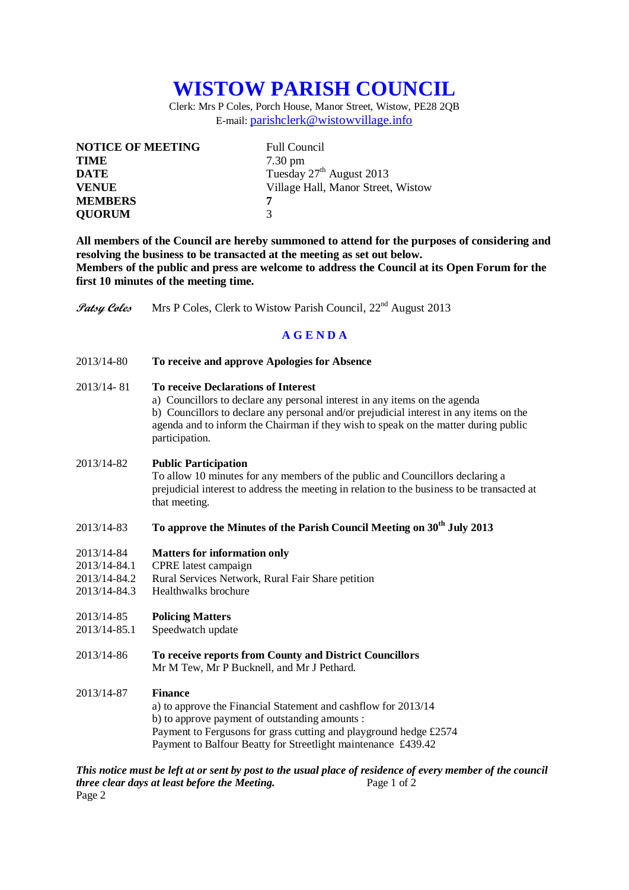# **WISTOW PARISH COUNCIL**

Clerk: Mrs P Coles, Porch House, Manor Street, Wistow, PE28 2QB E-mail: [parishclerk@wistowvillage.info](mailto:parishclerk@wistowvillage.info)

| <b>NOTICE OF MEETING</b> | <b>Full Council</b>                  |
|--------------------------|--------------------------------------|
| <b>TIME</b>              | $7.30 \text{ pm}$                    |
| <b>DATE</b>              | Tuesday 27 <sup>th</sup> August 2013 |
| <b>VENUE</b>             | Village Hall, Manor Street, Wistow   |
| <b>MEMBERS</b>           | 7                                    |
| <b>QUORUM</b>            | $\mathbf 3$                          |

**All members of the Council are hereby summoned to attend for the purposes of considering and resolving the business to be transacted at the meeting as set out below. Members of the public and press are welcome to address the Council at its Open Forum for the first 10 minutes of the meeting time.**

Patsy Coles Mrs P Coles, Clerk to Wistow Parish Council, 22<sup>nd</sup> August 2013

# **A G E N D A**

2013/14-80 **To receive and approve Apologies for Absence**

## 2013/14- 81 **To receive Declarations of Interest**

a) Councillors to declare any personal interest in any items on the agenda b) Councillors to declare any personal and/or prejudicial interest in any items on the agenda and to inform the Chairman if they wish to speak on the matter during public participation.

#### 2013/14-82 **Public Participation**

To allow 10 minutes for any members of the public and Councillors declaring a prejudicial interest to address the meeting in relation to the business to be transacted at that meeting.

# 2013/14-83 **To approve the Minutes of the Parish Council Meeting on 30th July 2013**

#### 2013/14-84 **Matters for information only**

- 2013/14-84.1 CPRE latest campaign
- 2013/14-84.2 Rural Services Network, Rural Fair Share petition
- 2013/14-84.3 Healthwalks brochure

#### 2013/14-85 **Policing Matters**

- 2013/14-85.1 Speedwatch update
- 2013/14-86 **To receive reports from County and District Councillors** Mr M Tew, Mr P Bucknell, and Mr J Pethard.

#### 2013/14-87 **Finance**

a) to approve the Financial Statement and cashflow for 2013/14 b) to approve payment of outstanding amounts : Payment to Fergusons for grass cutting and playground hedge £2574 Payment to Balfour Beatty for Streetlight maintenance £439.42

*This notice must be left at or sent by post to the usual place of residence of every member of the council three clear days at least before the Meeting.* Page 1 of 2 Page 2